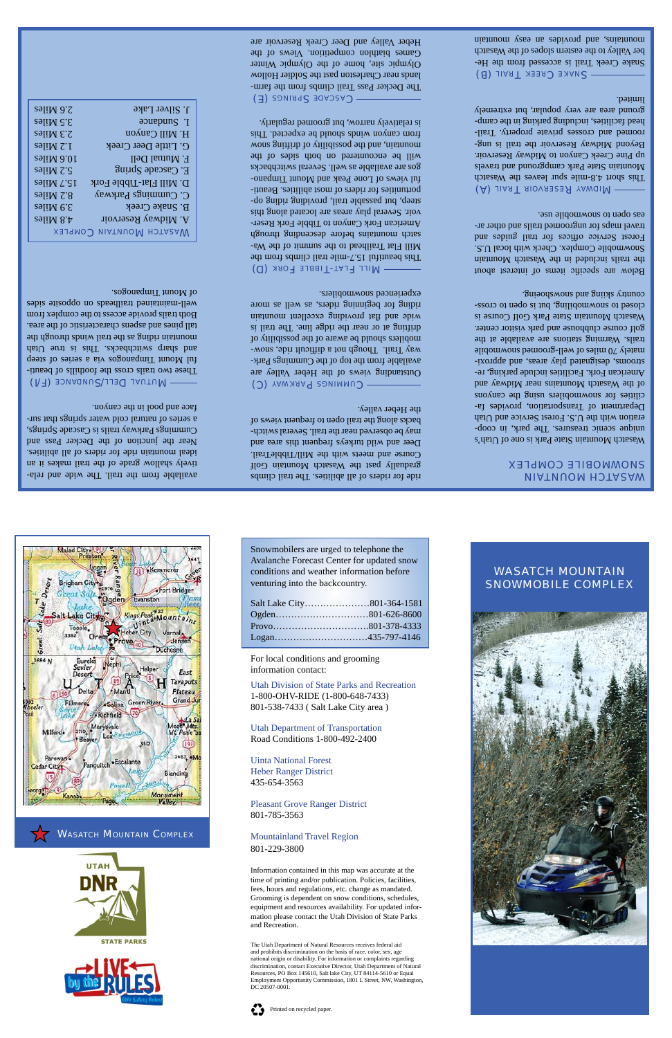available from the trail. The wide and relatively shallow grade of the trail makes it an ideal mountain ride for riders of all abilities. Near the junction of the Decker Pass and Cummings Parkway trails is Cascade Springs, a series of natural cold water springs that surface and pool in the canyon.

MUTUAL DELL/SUNDANCE (F/I) - These two trails cross the foothills of beauti ful Mount Timpanogos via a series of steep and sharp switchbacks. If  $\alpha$  is true Utah mountain riding as the trail winds through the tall pines and aspens characteristic of the area. Both trails provide access to the complex from well-maintained trailheads on opposite sides of Mount Timpanogos.

**XSLAM COMPLEX** A. Midway Reservoir 4.8 Miles B. Snake Creek 3.9 Miles C. Cummings Parkway  $8.2$  Miles D. Mill Flat-Tibble Fork 15.7 Miles E. Cascade Spring  $\frac{1}{2}$  and  $\frac{1}{2}$  and  $\frac{1}{2}$  and  $\frac{1}{2}$  and  $\frac{1}{2}$  and  $\frac{1}{2}$  and  $\frac{1}{2}$  and  $\frac{1}{2}$  and  $\frac{1}{2}$  and  $\frac{1}{2}$  and  $\frac{1}{2}$  and  $\frac{1}{2}$  and  $\frac{1}{2}$  and  $\frac{1}{2}$  and  $\frac{1}{2$ F. Mutual Dell 10.6 Miles G. Little Deer Creek 1.2 Miles  $H$ . Mill Canyon  $\alpha$  and  $\alpha$  and  $\alpha$  and  $\alpha$  and  $\alpha$  and  $\alpha$  and  $\alpha$  and  $\alpha$  and  $\alpha$  and  $\alpha$  and  $\alpha$  and  $\alpha$  and  $\alpha$  and  $\alpha$  and  $\alpha$  and  $\alpha$  and  $\alpha$  and  $\alpha$  and  $\alpha$  and  $\alpha$  and  $\alpha$  and  $\alpha$  and  $\alpha$  a  $I.$  Sundance  $3.5$  Miles J. Silver Lake 2.6 Miles

> CUMMINGS PARKWAY (C) Outstanding views of the Heber Valley are available from the top of the Cummings Parkway Trail. Though not a diffusible, some ride, some mobilers should be aware of the possibility of drifting at or near the ridge line. The trail is wide and flat providing excellent mountain riding for beginning riders, as well as more experienced snowmobilers.

> ride for riders of all abilities. The trail climbs gradually past the Wasatch Mountain Golf Course and meets with the Mill/TibbleTrail. Deer and wild turkeys frequent this area and may be observed near the trail. Several switchbacks along the trail open to frequent views of the Heber valley.

> MILL FLAT-TIBBLE FORK (D) This beautiful 15.7-mile trail climbs from the Mill Flat Trailhead to the summit of the Wasatch mountains before descending through American Fork Canyon to Tibble Fork Reservoir. Several play areas are located along this steep, but passable trail, providing appear op-- portunities for riders of most abilities. Beauti ful views of Lone Peak and Mount Timpanogos are available as well. Several switchbacks will be encountered on both sides of the mountain, and the possibility of drifting snow from canyon winds should be expected. This is relatively narrow, but groomed regularly.

> CASCADE SPRINGS (E) The Decker Pass Trail climbs from the farmlands near Charleston past the Soldier Hollow Olympic site, home of the Olympic Winter Games biathlon competition. Views of the Heber Valley and Deer Creek Reservoir are

## *UIATUUOM HOTA2AW* SNOWMOBILE COMPLEX

Wasatch Mountain State Park is one of Utah's unique scenic treasures. The park, in cooperation with the U.S. Forest Service and Utah Department of Transportation, provides facilities for snowmobilers using the canyons of the Wasatch Mountains near Midway and American Fork. Facilities include parking, re-- strooms, designated play areas, and approxi  $\sigma$  70 miles of well-groomed showmobile trails. Warming stations are available at the golf course clubhouse and park visitor center. Wasatch Mountain State Park Golf Course is closed to snowmobiling, but is open of crosscountry skiing and said saids and selections and contact the set of the set of the set of the set of the set o

Below are specific items of interest about the trails included in the Wasatch Mountain Snowmobile Complex. Check with local U.S. Forest Service offices for trail guides and travel maps for ungroomed trails and other areas open to suowmopile use.

(A) JIAST RIOVASERS YAWGIM This short  $4.8$ -mile spure leaves the Wasatch Mountain State Park campground and travels up Pine Creek Canyon to Midway Reservoir. Beyond Midway Reservoir the trail is ungroomed and crosses private property. Trailhead facilities, including parking in the campground area are very popular, but extremely limited.

SNAKE CREEK TRAIL (B) Snake Creek Trail is accessed from the Heber Valley to the eastern slopes of the Wasatch mission and provides an easy mountain

WASATCH MOUNTAIN COMPLEX



The Utah Department of Natural Resources receives federal aid and prohibits discrimination on the basis of race, color, sex, age national origin or disability. For information or complaints regarding discrimination, contact Executive Director, Utah Department of Natural Resources, PO Box 145610, Salt lake City, UT 84114-5610 or Equal Employment Opportunity Commission, 1801 L Street, NW, Washington, DC 20507-000

WASATCH MOUNTAIN SNOWMOBILE COMPLEX

Snowmobilers are urged to telephone the Avalanche Forecast Center for updated snow conditions and weather information before venturing into the backcountry.



For local conditions and grooming information contact:

Utah Division of State Parks and Recreation 1-800-OHV-RIDE (1-800-648-7433) 801-538-7433 ( Salt Lake City area )

Utah Department of Transportation Road Conditions 1-800-492-2400



## Uinta National Forest

Heber Ranger District 435-654-3563

Pleasant Grove Ranger District 801-785-3563

## Mountainland Travel Region 801-229-3800

Information contained in this map was accurate at the time of printing and/or publication. Policies, facilities, fees, hours and regulations, etc. change as mandated. Grooming is dependent on snow conditions, schedules, equipment and resources availability. For updated information please contact the Utah Division of State Parks and Recreation.